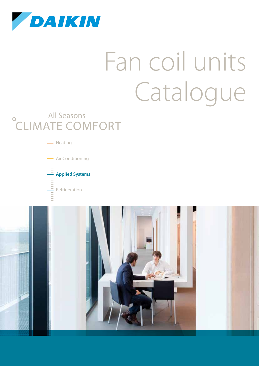

# Fan coil units Catalogue

# Climate comfort All Seasons



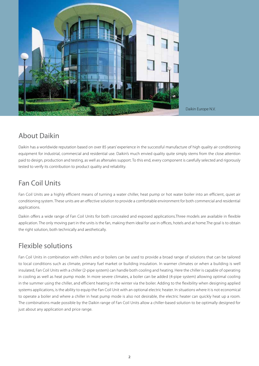

Daikin Europe N.V.

### About Daikin

Daikin has a worldwide reputation based on over 85 years' experience in the successful manufacture of high quality air conditioning equipment for industrial, commercial and residential use. Daikin's much envied quality quite simply stems from the close attention paid to design, production and testing, as well as aftersales support. To this end, every component is carefully selected and rigorously tested to verify its contribution to product quality and reliability.

#### Fan Coil Units

Fan Coil Units are a highly efficient means of turning a water chiller, heat pump or hot water boiler into an efficient, quiet air conditioning system. These units are an effective solution to provide a comfortable environment for both commercial and residential applications.

Daikin offers a wide range of Fan Coil Units for both concealed and exposed applications.Three models are available in flexible application. The only moving part in the units is the fan, making them ideal for use in offices, hotels and at home.The goal is to obtain the right solution, both technically and aesthetically.

### Flexible solutions

Fan Coil Units in combination with chillers and or boilers can be used to provide a broad range of solutions that can be tailored to local conditions such as climate, primary fuel market or building insulation. In warmer climates or when a building is well insulated, Fan Coil Units with a chiller (2-pipe system) can handle both cooling and heating. Here the chiller is capable of operating in cooling as well as heat pump mode. In more severe climates, a boiler can be added (4-pipe system) allowing optimal cooling in the summer using the chiller, and efficient heating in the winter via the boiler. Adding to the flexibility when designing applied systems applications, is the ability to equip the Fan Coil Unit with an optional electric heater. In situations where it is not economical to operate a boiler and where a chiller in heat pump mode is also not desirable, the electric heater can quickly heat up a room. The combinations made possible by the Daikin range of Fan Coil Units allow a chiller-based solution to be optimally designed for just about any application and price range.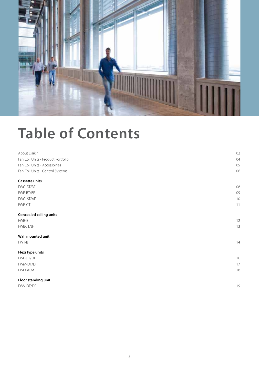

# **Table of Contents**

| About Daikin                       | $02$ |
|------------------------------------|------|
| Fan Coil Units - Product Portfolio | 04   |
| Fan Coil Units - Accessoiries      | 05   |
| Fan Coil Units - Control Systems   | 06   |
| <b>Cassette units</b>              |      |
| FWC-BT/BF                          | 08   |
| FWF-BT/BF                          | 09   |
| FWC-AT/AF                          | 10   |
| FWF-CT                             | 11   |
| <b>Concealed ceiling units</b>     |      |
| FWB-BT                             | 12   |
| FWB-JT/JF                          | 13   |
| Wall mounted unit                  |      |
| FWT-BT                             | 14   |
| Flexi type units                   |      |
| FWL-DT/DF                          | 16   |
| FWM-DT/DF                          | 17   |
| FWD-AT/AF                          | 18   |
| Floor standing unit                |      |
| FWV-DT/DF                          | 19   |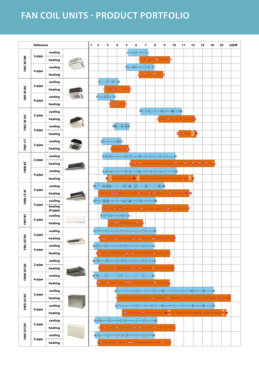# **FAN COIL UNITS - PRODUCT PORTFOLIO**

|               | Reference           |                       | $\mathbf{1}$ | $\overline{\mathbf{2}}$                 | 3                                                                         | 4                                                                               | 5                                                                         | 6                      | 7                 | 8                    | 9                  | 10                                            | 11                                  | 12              | 16                    | 18     | 20                                      | 22kW |
|---------------|---------------------|-----------------------|--------------|-----------------------------------------|---------------------------------------------------------------------------|---------------------------------------------------------------------------------|---------------------------------------------------------------------------|------------------------|-------------------|----------------------|--------------------|-----------------------------------------------|-------------------------------------|-----------------|-----------------------|--------|-----------------------------------------|------|
|               |                     | cooling               |              |                                         |                                                                           |                                                                                 | $06 - 07$                                                                 | $08 -$                 | lo9               |                      |                    |                                               |                                     |                 |                       |        |                                         |      |
|               | 2-pipe              | heating               |              |                                         |                                                                           |                                                                                 |                                                                           | $06 - 1$               |                   | $ 07 - -  08 - - - $ | 09                 |                                               |                                     |                 |                       |        |                                         |      |
| FWC-BT/BF     |                     | cooling               |              |                                         |                                                                           |                                                                                 | $\overline{00}$ - - - $\overline{07}$ - - -                               |                        | $-08 - 09$        |                      |                    |                                               |                                     |                 |                       |        |                                         |      |
|               | 4-pipe              | heating               |              |                                         |                                                                           |                                                                                 |                                                                           |                        | $06 - 07 - 08$    | $\overline{0}$       |                    |                                               |                                     |                 |                       |        |                                         |      |
|               |                     | cooling               |              |                                         | $\overline{02}$ - - - $\overline{03}$ - $\overline{04}$ - $\overline{05}$ |                                                                                 |                                                                           |                        |                   |                      |                    |                                               |                                     |                 |                       |        |                                         |      |
|               | 2-pipe              | heating               |              |                                         |                                                                           | $02 - -03 - 04 - - - -05$                                                       |                                                                           |                        |                   |                      |                    |                                               |                                     |                 |                       |        |                                         |      |
| FWF-BT/BF     |                     | cooling               |              |                                         | $\overline{02}$ = - $\overline{030}$ + - - $\overline{05}$                |                                                                                 |                                                                           |                        |                   |                      |                    |                                               |                                     |                 |                       |        |                                         |      |
|               | 4-pipe              | heating               |              |                                         |                                                                           | 02 03 04                                                                        | 醒                                                                         |                        |                   |                      |                    |                                               |                                     |                 |                       |        |                                         |      |
|               | 2-pipe              | cooling               |              |                                         |                                                                           |                                                                                 |                                                                           |                        |                   |                      |                    |                                               |                                     |                 |                       |        |                                         |      |
| FWC-AT/AF     |                     | heating               |              |                                         |                                                                           |                                                                                 |                                                                           |                        |                   | 07                   | $08 -$             |                                               | $---10---1112$                      |                 |                       |        |                                         |      |
|               | 4-pipe              | cooling               |              |                                         |                                                                           | $0203 - 04 - 0506$                                                              |                                                                           |                        |                   |                      |                    |                                               |                                     |                 |                       |        |                                         |      |
|               |                     | heating               |              |                                         |                                                                           |                                                                                 |                                                                           |                        |                   |                      |                    |                                               | $\overline{02} - \overline{03} - -$ | $\frac{04}{05}$ |                       |        |                                         |      |
| FWF-CT        | 2-pipe              | cooling               |              |                                         | $02 - -$                                                                  | $- - - -03$ $04$                                                                |                                                                           |                        |                   |                      |                    |                                               |                                     |                 |                       |        |                                         |      |
|               |                     | heating               |              |                                         |                                                                           | $\overline{02}$ - - - - 03 - 04                                                 |                                                                           |                        |                   |                      |                    |                                               |                                     |                 |                       |        |                                         |      |
|               | 2-pipe              | cooling               |              |                                         | $02 - 03 - 04 - -$                                                        |                                                                                 | ---05-06----02----08----09-------00                                       |                        |                   |                      |                    |                                               |                                     |                 |                       |        |                                         |      |
| <b>FWB-BT</b> |                     | heating               |              |                                         |                                                                           |                                                                                 |                                                                           | $02 \t03 - 04$         |                   |                      |                    | $05 -$                                        |                                     |                 | $06 - 07 - 08 + 09 -$ | $-110$ |                                         |      |
|               | 4-pipe              | cooling               |              |                                         | $02 \cdot 03 = 04 =$                                                      |                                                                                 | ---05-06-                                                                 | $-\overline{\omega}$ – | $-80 -$           | - 09                 |                    | - 10                                          |                                     |                 |                       |        |                                         |      |
|               | heating             |                       |              | $\xi_{03}^{02}$                         |                                                                           |                                                                                 | $+05$<br>$+06$<br>07                                                      |                        |                   |                      |                    | $\begin{array}{c} 08 \\ 09 \\ 10 \end{array}$ |                                     |                 |                       |        |                                         |      |
|               | 2-pipe              | cooling               |              |                                         | $\overline{02}$ - $\overline{1}$ - -03 04 05 - -                          |                                                                                 | - - - <mark>06 -</mark> 07 - - 08 - -                                     |                        | $-19 -$           | - 10- 11             |                    |                                               |                                     |                 |                       |        |                                         |      |
|               |                     | heating               |              |                                         | $52 - - + -$                                                              | 0304 5                                                                          |                                                                           | $06 -$                 | 07 08             | ----                 | $-09$              |                                               | 1011                                |                 |                       |        |                                         |      |
| FWB-JT/JF     | 4-pipe              | cooling               |              | $02 -$                                  | $-0304$                                                                   |                                                                                 | - -06 -07 - -                                                             | $-08 -$                |                   | 10                   |                    |                                               |                                     |                 |                       |        |                                         |      |
|               |                     | heating<br>$(4-pipe)$ |              |                                         |                                                                           |                                                                                 | $\overline{02}$ – + – – – $\overline{03}$ $\overline{04}$ – – + – – – + – | $-06$                  | ----              | $07 - - -$           |                    | $08 - - - - -$                                | 10                                  |                 |                       |        |                                         |      |
| FWT-BT        | 2-pipe              | cooling               |              |                                         |                                                                           | $\overline{02}$ $\overline{03}$ + $\overline{04}$ + - + - -05 - $\overline{06}$ |                                                                           |                        |                   |                      |                    |                                               |                                     |                 |                       |        |                                         |      |
|               |                     | heating               |              |                                         |                                                                           |                                                                                 | 02--03 04------------------05---- <mark>06</mark>                         |                        |                   |                      |                    |                                               |                                     |                 |                       |        |                                         |      |
|               | 2-pipe              | cooling               |              |                                         |                                                                           |                                                                                 | 01- $\frac{1}{2}$ - -02 - ----- -04:06 - ----                             |                        | $- - 08 - - - 10$ |                      |                    |                                               |                                     |                 |                       |        |                                         |      |
| FWL-DT/DF     |                     | heating               |              | $01 - 02$                               |                                                                           | 03                                                                              | 04                                                                        | 06 <sub>1</sub>        | 08                |                      |                    | 10                                            |                                     |                 |                       |        |                                         |      |
|               | 4-pipe              | cooling               |              | $01 - 02 = -03$                         |                                                                           | $-0406$                                                                         |                                                                           | $-108$                 | 10                |                      |                    |                                               |                                     |                 |                       |        |                                         |      |
|               |                     | heating               |              | $\overline{01}$ $\overline{02}$ – – –03 |                                                                           |                                                                                 | $04 - 06$                                                                 |                        |                   | 08                   | 10                 |                                               |                                     |                 |                       |        |                                         |      |
|               | 2-pipe              | cooling               |              |                                         | 01 - 02 - - - 03 - -                                                      | $-0406$                                                                         |                                                                           | $- -08$                | - 50              |                      |                    |                                               |                                     |                 |                       |        |                                         |      |
| FWM-DT/DF     |                     | heating               |              | $61 - 02 =$                             |                                                                           | 03                                                                              | 04                                                                        | 06                     | 08                |                      |                    | 10                                            |                                     |                 |                       |        |                                         |      |
|               | 4-pipe              | cooling               |              | $0102 - 03 -$                           |                                                                           | $-0406 -$                                                                       |                                                                           | $- -08$                | $-10$             |                      |                    |                                               |                                     |                 |                       |        |                                         |      |
|               |                     | heating               |              | $0102 - -03$                            |                                                                           |                                                                                 | 0406                                                                      |                        |                   | 0 <sub>B</sub>       | 10                 |                                               |                                     |                 |                       |        |                                         |      |
|               | 2-pipe              | cooling               |              |                                         |                                                                           | 04                                                                              |                                                                           |                        |                   | -10                  |                    |                                               | -12                                 |                 | $16 -$                | $-118$ |                                         |      |
| FWD-AT/AF     |                     | heating               |              |                                         |                                                                           |                                                                                 |                                                                           |                        | 06                |                      | 08                 | 10 <sub>1</sub>                               |                                     | 12              |                       | $16 -$ |                                         | 18   |
|               | 4-pipe              | cooling               |              |                                         |                                                                           | 04                                                                              |                                                                           | $06 -$                 | $-08$             | 10-                  |                    |                                               |                                     | Œ.              | $\overline{16}$ –     | 18     |                                         |      |
|               |                     | heating               |              |                                         |                                                                           |                                                                                 | 04                                                                        | 06                     |                   |                      | $08$ <sub>10</sub> |                                               |                                     |                 | $12 -$                |        | $\begin{array}{c} 16 \\ 18 \end{array}$ |      |
|               | 2-pipe              | cooling               |              |                                         | $\overline{01} - \overline{02} - - - \overline{03} -$                     | $-04$ 06                                                                        |                                                                           | 08                     |                   | π                    |                    |                                               |                                     |                 |                       |        |                                         |      |
|               |                     | heating               |              | $01 - 02$                               |                                                                           | 03                                                                              |                                                                           | 04<br>$-06$            |                   | 08                   |                    | 10                                            |                                     |                 |                       |        |                                         |      |
|               | FWV-DT/DF<br>4-pipe | cooling               |              |                                         | $01 - 02 = -12$                                                           |                                                                                 | $-04 - 05$                                                                | 08                     | $-110$            |                      |                    |                                               |                                     |                 |                       |        |                                         |      |
|               |                     | heating               |              | $0102 - -$                              |                                                                           | $-03$                                                                           | 0406                                                                      |                        |                   | 08                   | 10                 |                                               |                                     |                 |                       |        |                                         |      |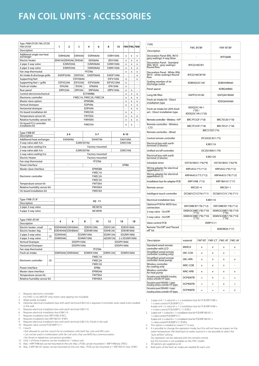# **FAN COIL UNITS - accessories**

| Type: FWM-DT/DF, FWL-DT/DF,<br><b>FWV-DT/DF</b> | 1 | $\overline{a}$  | 3                       | 4                      | 6               | 8              | 10              |                | <b>FWV FWL FWM</b>       |                          |
|-------------------------------------------------|---|-----------------|-------------------------|------------------------|-----------------|----------------|-----------------|----------------|--------------------------|--------------------------|
| Description                                     |   |                 |                         |                        |                 |                |                 |                |                          |                          |
| Additional single row heat<br>exchanger         |   | ESRH02A6        | ESRH03A6                | ESRH06A6               |                 | ESRH10A6       |                 | x              | x                        | x                        |
| Electric heater                                 |   |                 | EEH01A6 EEH02A6 EEH03A6 |                        | EEH06A6         |                | EEH10A6         | x              | x                        | x                        |
| 2-pipe 3-way valve                              |   | <b>E2MV03A6</b> |                         |                        | <b>E2MV06A6</b> |                | <b>E2MV10A6</b> | x              | x                        | x                        |
| 4-pipe 3-way valve                              |   | E4MV03A6        |                         | E4MV06A6<br>E4MV10A6   |                 |                |                 | x              | x                        | x                        |
| Fan stop thermostat                             |   |                 |                         | YFSTA6                 |                 |                |                 | x              | x                        | x                        |
| Air intake & discharge grille                   |   | EAIDF02A6       | EAIDF03A6               |                        | EAIDF06A6       | EAIDF10A6      | Ē,              | ٠              | x                        |                          |
| Supporting feet                                 |   |                 | ESFV06A6                |                        |                 |                | ESFV10A6        | x              | ٠                        | x                        |
| Supporting feet + grille                        |   | ESFVG2A6        | ESFVG3A6                |                        | <b>FSEVG6A6</b> | ESFVG10A6      |                 | x              | ä,                       |                          |
| Fresh air intake                                |   | EFA2A6          | EFA3A6                  |                        | EFA6A6          | <b>EFA10A6</b> |                 | x              | $\overline{\phantom{0}}$ | ٠                        |
| Rear panel                                      |   | ERPV2A6         | ERPV3A6                 |                        | ERPV6A6         | ERPV10A6       |                 | x              | x                        | $\overline{\phantom{m}}$ |
| Control electromechanical                       |   |                 |                         | <b>ECFWMB6</b>         | x               | x              | x               |                |                          |                          |
| Electronic controller                           |   |                 |                         | FWEC1A, FWEC2A, FWEC3A |                 |                |                 |                | x                        | x                        |
| Master slave option                             |   |                 |                         | EPIMSB6                |                 |                |                 | x              | x                        | x                        |
| Vertical drainpan                               |   |                 |                         | EDPVA6                 |                 |                |                 | x              | x                        | x                        |
| Horizontal drainpan                             |   |                 |                         | EDPHA6                 |                 |                |                 | $\overline{a}$ | x                        | x                        |
| On board installation kit                       |   |                 |                         | <b>FWECKA</b>          |                 |                |                 | x              | x                        | ٠                        |
| Temperature sensor kit                          |   |                 | <b>FWTSKA</b>           |                        |                 | x              | x               | x              |                          |                          |
| Relative humidity sensor kit                    |   |                 |                         | <b>FWHSKA</b>          |                 |                |                 |                |                          | x                        |
| On board FCU controller<br>installation kit     |   |                 |                         | <b>FWECKA</b>          |                 |                |                 | x              | x                        |                          |

| Type: FWB-BT<br>Description  | $2 - 4$         | $5 - 7$       | $8 - 10$  |  |  |  |  |  |  |
|------------------------------|-----------------|---------------|-----------|--|--|--|--|--|--|
| Additional heat exchanger    | EAH04A6         | EAH07A6       | EAH10A6   |  |  |  |  |  |  |
| 3-way valve add. h/e         |                 | E2MV307A6     | E2MV310A6 |  |  |  |  |  |  |
| 3-way valve cooling h/e      |                 |               |           |  |  |  |  |  |  |
| 2-way valve add. h/e         | E2MV207A6       | E2MV210A6     |           |  |  |  |  |  |  |
| 2-way valve cooling h/e      | Factory mounted |               |           |  |  |  |  |  |  |
| <b>Electric Heater</b>       | Factory mounted |               |           |  |  |  |  |  |  |
| Fan stop thermostat          | YFSTA6          |               |           |  |  |  |  |  |  |
| Power interface              |                 |               | EPIB6     |  |  |  |  |  |  |
| Master slave interface       |                 | EPIMSB6       |           |  |  |  |  |  |  |
|                              |                 | FWEC1A        |           |  |  |  |  |  |  |
| Electronic controller        |                 | <b>FWEC2A</b> |           |  |  |  |  |  |  |
|                              |                 | <b>FWEC3A</b> |           |  |  |  |  |  |  |
| Temperature sensor kit       |                 | <b>FWTSKA</b> |           |  |  |  |  |  |  |
| Relative humidity sensor kit |                 | <b>FWHSKA</b> |           |  |  |  |  |  |  |
| On board installation kit    |                 | <b>FWECKA</b> |           |  |  |  |  |  |  |

| Type: FWB-JT/JF    | $02 - 11$    |  |  |  |  |  |
|--------------------|--------------|--|--|--|--|--|
| Description        |              |  |  |  |  |  |
| 2-pipe 3-way valve | <b>MCWCN</b> |  |  |  |  |  |
| 4-pipe 3-way valve | <b>MCWHN</b> |  |  |  |  |  |

| Type: FWD-AT/AF              |     | 4                                             | 6         | 8         | 10            | 12        | 16          | 18            |  |  |
|------------------------------|-----|-----------------------------------------------|-----------|-----------|---------------|-----------|-------------|---------------|--|--|
| Description                  |     |                                               |           |           |               |           |             |               |  |  |
| Electric heater: small       |     | EDEH04A6 EDEHS06A6                            |           |           | EDEHS10A6     | EDEHS12A6 | EDEHS18A6   |               |  |  |
| Electric heater: big         | (1) | EDEH04A6 EDEHB06A6                            |           |           | EDEHB10A6     | EDEHB12A6 | EDEHB18A6   |               |  |  |
| 2-pipe 3-way valve           | (2) | ED2MV04A6                                     |           | ED2MV10A6 |               | ED2MV12A6 | ED2MV18A6   |               |  |  |
| 4-pipe 3-way valve           |     | ED4MV04A6                                     | ED4MV10A6 |           |               |           | 2xED2MV12A6 | 2 x ED2MV18A6 |  |  |
| Vertical Drainpan            |     |                                               |           | EDDPV10A6 |               | EDDPV18A6 |             |               |  |  |
| Horizontal Drainpan          |     |                                               |           | EDDPH10A6 | EDDPH18A6     |           |             |               |  |  |
| Fan stop thermostat          |     |                                               |           |           | YFSTA6        |           |             |               |  |  |
| Fresh air intake             |     | EDMFA04A6 EDMFA06A6<br>EDMFA10A6<br>EDMFA12A6 |           |           |               |           | EDMFA18A6   |               |  |  |
|                              |     | FWEC1A                                        |           |           |               |           |             |               |  |  |
| Electronic controller        | (3) | FWEC2A                                        |           |           |               |           |             |               |  |  |
|                              |     |                                               |           |           | <b>FWEC3A</b> |           |             |               |  |  |
| Power interface              |     | EPIB6                                         |           |           |               |           |             |               |  |  |
| Master slave interface       |     | EPIMSA6                                       |           |           |               |           |             |               |  |  |
| Temperature sensor kit       |     | <b>FWTSKA</b>                                 |           |           |               |           |             |               |  |  |
| Relative humidity sensor kit |     | <b>FWHSKA</b>                                 |           |           |               |           |             |               |  |  |

1. Requires electronic controller

- 2. For FWD 12,16,18AT/AF only motor valve (piping not included)<br>3. Water probe included
- Water probe included
- 4. Optional, electrical installation box with earth terminal KJB212A is required, if controller wires need to be installed in the wall.
- 5. Requires electrical installation box with earth terminal KJB311A.
- 6. Requires electrical installation box KJB411A.<br>
7. Requires installation box KRP1H08 (EMC).
- 7. Requires installation box KRP1H98. (FWC) 8. Requires installation box KRP1BA101 (FWF)
- 9. Requires electrical installation box with earth terminal KJB212A, if built in the wall.
- 10. Requires valve control PCB EKRP1C11
- 11. I-touch:
- Not allowed to use the i-touch for an installation with both fan coils and VRV units. • Can not be used in combination with fan coil units, that use MOD bus communication.
- No Airnet or telephone connection possible.» 12. Only 1 of these 4 options can be installed on 1 indoor unit.
- 
- 13. Max. 1 KRP1H98 box can be mounted on the unit. Max. 2 PCB's can be mounted in 1 KRP1H98 box. (FWC) 14. Max. 2 KRP1BA101 boxes can be mounted on the unit. Max. 1PCB can be mounted in 1 KRP1BA101 box. (FWF)
- 

| <b>TYPE</b>                                                             | FWC-BT/BF                                       | FWF-BT/BF                        |  |  |  |  |  |
|-------------------------------------------------------------------------|-------------------------------------------------|----------------------------------|--|--|--|--|--|
| Description                                                             |                                                 |                                  |  |  |  |  |  |
| Decoration Panel (RAL 9010 -<br>grey sealings) 4-way blow               |                                                 | BYFQ60B                          |  |  |  |  |  |
| Decoration Panel - Standard<br>(RAL 9010 - grey sealings)<br>Round flow | BYCQ140CW1                                      |                                  |  |  |  |  |  |
| Decoration Panel - White (RAL<br>9010 - white sealings) Round<br>flow   | BYCO140CW1W                                     |                                  |  |  |  |  |  |
| Sealing member of air<br>discharge outlet                               | KDBHQ55C140                                     | KDBH44BA60                       |  |  |  |  |  |
| Panel spacer                                                            |                                                 | KDBQ44B60                        |  |  |  |  |  |
| Long-life filter                                                        | KAFP551K160                                     | KAFO441BA60                      |  |  |  |  |  |
| Fresh air intake kit - Direct<br>installation type                      |                                                 | KDDQ44XA60                       |  |  |  |  |  |
| Fresh air intake kit (20% fresh<br>air) - Direct installation type      | KDDQ55C140-1<br>$(*20) /$<br>KDDO55C140-2 (*20) |                                  |  |  |  |  |  |
| Remote controller - Wireless - H/P                                      | BRC7F532F (*18)                                 | BRC7E530 (*18)                   |  |  |  |  |  |
| Remote controller - Wireless<br>$-C/O$                                  | BRC7F533F (*18)                                 | BRC7E531 (*18)                   |  |  |  |  |  |
| Remote controller - Wired                                               |                                                 | BRC315D7 (*4)                    |  |  |  |  |  |
| Central remote controller                                               |                                                 | DCS302CA51 (*5)                  |  |  |  |  |  |
| Electrical box with earth<br>terminal (3 blocks)                        |                                                 | <b>KJB311A</b>                   |  |  |  |  |  |
| Unified on/off controller                                               | DCS301BA51 (*9)                                 |                                  |  |  |  |  |  |
| Electrical box with earth<br>terminal (2 blocks)                        |                                                 | <b>KJB212A</b>                   |  |  |  |  |  |
| Schedule timer                                                          | DST301BA51 (*6)(*9)                             | DST301BA51 (*6)(*9)              |  |  |  |  |  |
| Wiring adapter for electrical<br>appendices (1)                         | KRP2A52 (*7) (*12)                              | KRP2A52 (*9) (*12)               |  |  |  |  |  |
| Wiring adapter for electrical<br>appendices (2)                         | KRP4AA53 (*7) (*12)                             | KRP4AA53 (*9) (*12)              |  |  |  |  |  |
| Installation box for adapter PCB                                        | KRP1H98 (*13)                                   | KRP1BA101 (*17)                  |  |  |  |  |  |
| Remote sensor                                                           | <b>KRCS01-4</b>                                 | <b>KRCS01-1</b>                  |  |  |  |  |  |
| Intelligent touch controller                                            | DCS601C51C(*6)(*11)                             | DCS601C51C (*6) (*11)            |  |  |  |  |  |
| Electrical installation box                                             |                                                 | <b>KJB411A</b>                   |  |  |  |  |  |
| Optional PCB for MOD-bus<br>connection                                  | EKFCMBCB7 (*8) (*12)                            | EKFCMBCB7 (*8) (*12)             |  |  |  |  |  |
| 2-way valve - On/Off                                                    | EKMV2C09B7 (*8) (*10)<br>(*15)                  | EKMV2C09B7 (*8) (*10)<br>(*16)   |  |  |  |  |  |
| 3-way valve - On/Off                                                    | EKMV3C09B7 (*8) (*10)<br>$(*15)$                | EKMV3C09B7 (*8) (*10)<br>$(*16)$ |  |  |  |  |  |
| Valve control PCB                                                       |                                                 | EKRP1C11                         |  |  |  |  |  |
| Remote "On/Off" and "forced<br>off" kit                                 |                                                 | EKROROA (*17)                    |  |  |  |  |  |

| Description                                                                     | material     | <b>FWT-BT</b> | <b>FWF-CT</b> | <b>FWC-AT</b> | <b>FWC-AF</b> |
|---------------------------------------------------------------------------------|--------------|---------------|---------------|---------------|---------------|
| Standard wired remote<br>controller with LCD                                    | <b>MERCA</b> | x             | x             | x             | x             |
| Simplified wired remote<br>controller (cooling only)                            | SRC-COA      | x             | x             | x             |               |
| Simplified wired remote<br>controller (heat pump)                               | SRC-HPA      | x             | x             | x             | x             |
| Wireless controller<br>for cooling only                                         | WRC-COB      | x             | x             | x             |               |
| Wireless controller<br>for heat pump                                            | WRC-HPB      | x             | x             | x             | x             |
| Decoration panel (600x600) including<br>wireless controller H/P 2pipes          | DCP600TB     |               | x             |               |               |
| Decoration panel (900x900 / 2-pipe)<br>including wireless controller H/P 2pipes | DCP900TB     |               |               | $\mathbf x$   |               |
| Decoration panel (900x900 / 4-pipe)<br>including wireless controller H/P 4pipes | DCP900FB     |               |               |               | x             |

1. 2-pipe unit: 1 x valve kit + 1 x installation box for PCB KRP1H98 +

- 1 x valve control PCB EKRP1C11 4-pipe unit: 2 x valve kit + 1 x installation box for PCB KRP1H98 +
- 1 x valve control PCB EKRP1C 11 (FWC) 2. 2-pipe unit: 1 x valve kit + 1 x installation box for PCB KRP1BA101 + 1 x valve control PCB EKRP1C11
- 4-pipe unit: 2 x valve kit + 1 x installation box for PCB KRP1BA101 + 1 x valve control PCB EKRP1C11 (FWF)»
- 3. This option is needed to create T1 T2 wire.
- 4. It is possible to change the operation mode, but this will not have an impact on the water temperature. (No feed back to water source) It is not possible to select the "auto airflow" setting. Dry operation can be selected with this remote control,
- but this function is not available on the FWC model.
- 5. All options are supplied as kit.
- 6. Both parts of the fresh air intake are needed for each unit.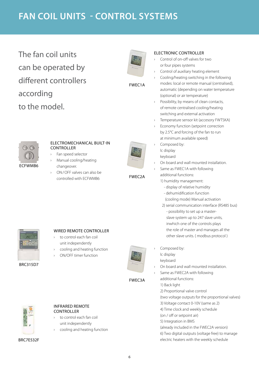# **FAN COIL UNITS - control SYSTEMS**

The fan coil units can be operated by different controllers according to the model.



#### ELECTROMECHANICAL BUILT-IN CONTROLLER

- Fan speed selector
- Manual cooling/heating changeover.
- › ON/OFF valves can also be controlled with ECFWMB6



```
FWEC1A
```
#### ELECTRONIC Controller

- Control of on-off valves for two or four pipes systems
- › Control of auxiliary heating element
- Cooling/heating switching in the following modes: local or remote manual (centralised), automatic (depending on water temperature (optional) or air temperature)
- Possibility, by means of clean contacts, of remote centralised cooling/heating switching and external activation
- Temperature sensor kit (accesory FWTSKA)
- Economy function (setpoint correction by 2.5°C and forcing of the fan to run at minimum available speed)
- Composed by: lc display keyboard
- On board and wall mounted installation.
- Same as FWEC1A with following additional functions:
	- 1) humidity management:
	- display of relative humidity
	- dehumidification function
	- (cooling mode) Manual activation

- possibility to set up a masterslave system up to 247 slave units, inwhich one of the controls plays the role of master and manages all the other slave units. ( modbus protocol )

2) serial communication interface (RS485 bus)



#### WIRED REMOTE CONTROLLER

- › to control each fan coil unit independently
- cooling and heating function
- › ON/OFF timer function

INFRARED REMOTE CONTROLLER

> to control each fan coil unit independently

cooling and heating function



- Composed by:
	- keyboard
	- On board and wall mounted installation.

FWEC3A

Same as FWEC2A with following additional functions: 1) Back light 2) Proportional valve control (two voltage outputs for the proportional valves) 3) Voltage contact 0-10V (same as 2) 4) Time clock and weekly schedule (on / off or setpoint air) 5) Integration in BMS (already included in the FWEC2A version) 6) Two digital outputs (voltage free) to manage electric heaters with the weekly schedule

BRC7E532F

FWEC2A

**6**

- lc display
-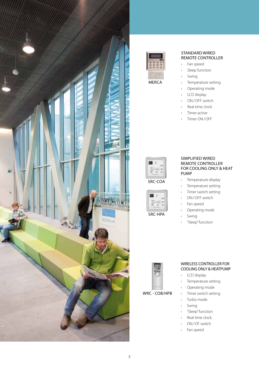



MERCA

#### STANDARD WIRED REMOTE CONTROLLER

- › Fan speed
- › Sleep function
- › Swing

› Temperature setting

- › Operating mode
- › LCD display
- › ON/OFF switch
- › Real time clock
- › Timer active
- › Timer ON/OFF



#### SIMPLIFIED WIRED REMOTE CONTROLLER FOR COOLING ONLY & HEAT PUMP

SRC-COA



SRC-HPA

› Temperature display

- › Temperature setting
- › Timer switch setting
- › ON/OFF switch
- › Fan speed
- › Operating mode
- › Swing
- › "Sleep" function



WRC - COb/HPB

COOLING ONLY & HEATPUMP › LCD display

WIRELESS CONTROLLER FOR

- › Temperature setting
- › Operating mode
- › Timer switch setting
- › Turbo mode
- › Swing
- › "Sleep" function
- › Real time clock
- › ON/OF switch
- › Fan speed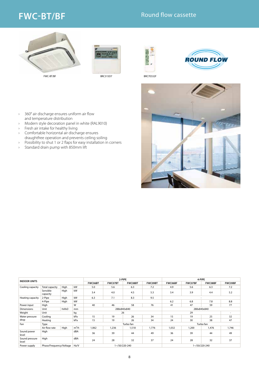# **FWC-BT/BF**

#### Round flow cassette





BRC315D7







| 360° air discharge ensures uniform air flow |  |
|---------------------------------------------|--|
| and temperature distribution                |  |

- › Modern style decoration panel in white (RAL9010)
- › Fresh air intake for healthy living
- › Comfortable horizontal air discharge ensures
- draughtfree operation and prevents ceiling soiling
- › Possibility to shut 1 or 2 flaps for easy installation in corners
- › Standard drain pump with 850mm lift

|                         | <b>INDOOR UNITS</b>          |       |         |         |                          | 2-PIPE        |         | 4-PIPE        |         |             |         |  |
|-------------------------|------------------------------|-------|---------|---------|--------------------------|---------------|---------|---------------|---------|-------------|---------|--|
|                         |                              |       |         | FWC06BT | FWC07BT                  | FWC08BT       | FWC09BT | FWC06BF       | FWC07BF | FWC08BF     | FWC09BF |  |
| Cooling capacity        | kW<br>High<br>Total capacity |       |         | 5.0     | 5.6                      | 6.3           | 7.2     | 4.9           | 5.6     | 6.3         | 7.2     |  |
|                         | Sensible<br>capacity         | High  | kW      | 3.4     | 4.0                      | 4.5           | 5.3     | 3.4           | 3.9     | 4.4         | 5.2     |  |
| Heating capacity        | 2-Pipe                       | High  | kW      | 6.3     | 7.1                      | 8.3           | 9.5     |               | $\sim$  |             |         |  |
|                         | 4-Pipe                       | High  | kW      |         | $\overline{\phantom{a}}$ |               |         |               | 6.8     | 7.8         | 8.8     |  |
| Power input             | High                         |       | W       | 40      | 46                       | 58            | 76      | 41            | 47      | 59          | 77      |  |
| <b>Dimensions</b>       | Unit                         | HxWxD | mm      |         |                          | 288x840x840   |         |               |         | 288x840x840 |         |  |
| Weight                  | Unit                         |       | kg      |         |                          | 26            |         |               | 29      |             | ۰       |  |
| Water pressure          | Cooling                      |       | kPa     | 15      | 19                       | 26            | 34      | 15            | 19      | 25          | 32      |  |
| drop                    | Heating                      |       |         | 15      | 19                       | 26            | 34      | 24            | 30      | 38          | 47      |  |
| Fan                     | Type                         |       |         |         |                          | Turbo fan     |         | Turbo fan     |         |             |         |  |
|                         | Air flow rate                | High  | $m^3/h$ | 1,062   | 1,236                    | 1,518         | 1,776   | 1,032         | 1,200   | 1,476       | 1,746   |  |
| Sound power<br>level    | dBA<br>High                  |       |         | 36      | 39                       | 44            | 49      | 36            | 39      | 44          | 49      |  |
| Sound pressure<br>level | High                         |       | dBA     | 24      | 28                       | 32            | 37      | 24            | 28      | 32          | 37      |  |
| Power supply            | Phase/Frequency/Voltage      |       | Hz/V    |         |                          | 1~/50/220-240 |         | 1~/50/220-240 |         |             |         |  |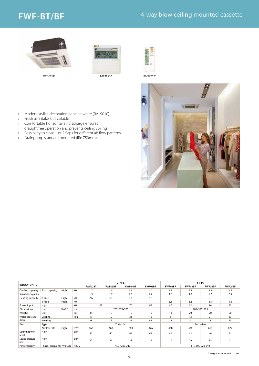# **FWF-BT/BF** 4-way blow ceiling mounted cassette









|  |  |  | Modern stylish decoration panel in white (RAL9010) |  |  |  |
|--|--|--|----------------------------------------------------|--|--|--|
|--|--|--|----------------------------------------------------|--|--|--|

- › Fresh air intake kit available
- › Comfortable horizontal air discharge ensures draughtfree operation and prevents ceiling soiling
- › Possibility to close 1 or 2 flaps for different air flow patterns
- › Drainpump standard mounted (lift: 750mm)

|                                    |                             |       |         |         |                | 2-PIPE        |                | 4-PIPE        |                |         |         |  |
|------------------------------------|-----------------------------|-------|---------|---------|----------------|---------------|----------------|---------------|----------------|---------|---------|--|
| <b>INDOOR UNITS</b>                |                             |       |         | FWF02BT | <b>FWF03BT</b> | FWF04BT       | <b>FWF05BT</b> | FWF02BF       | <b>FWF03BF</b> | FWF04BF | FWF05BF |  |
| Cooling capacity                   | Total capacity              | High  | kW      | 1.7     | 2.8            | 3.3           | 4.0            | 1.7           | 2.3            | 2.8     | 3.5     |  |
| Sensible capacity                  |                             |       |         | 1.3     | 1.7            | 2.1           | 2.7            | 1.3           | 1.3            | 1.7     | 2.3     |  |
| High<br>2-Pipe<br>Heating capacity |                             |       | kW      | 2.6     | 3.4            | 4.1           | 5.3            | $\sim$        |                |         |         |  |
|                                    | 4-Pipe                      | High  | kW      |         |                |               |                | 3.1           | 3.3            | 3.9     | 4.8     |  |
| Power input                        | High                        |       | kW      |         | 67             | 70            | 89             | 67            | 62             | 74      | 93      |  |
| <b>Dimensions</b>                  | Unit                        | HxWxD | mm      |         |                | 285x575x575   |                |               | 285x575x575    |         |         |  |
| Weight                             | Unit                        |       | kg      | 19      | 19             | 19            | 19             | 19            | 20             | 20      | 20      |  |
| Water pressure                     | Cooling                     |       | kPa     | 6       | 19             | 31            | 42             | 6             | 13             | 21      | 33      |  |
| drop                               | Heating                     |       |         | 6       | 19             | 31            | 42             | 12            | 6              | 9       | 13      |  |
| Fan                                | Type                        |       |         |         |                | Turbo fan     |                | Turbo fan     |                |         |         |  |
|                                    | Air flow rate               | High  | $m^3/h$ | 468     | 468            | 660           | 876            | 468           | 438            | 618     | 822     |  |
| Sound power<br>level               | High                        |       | dBA     | 40      | 40             | 44            | 49             | 40            | 42             | 46      | 51      |  |
| Sound pressure<br>level            | High                        |       | dBA     | 27      | 27             | 33            | 39             | 27            | 29             | 35      | 41      |  |
| Power supply                       | Phase / Frequency / Voltage |       | Hz/V    |         |                | 1~/50/220-240 |                | 1~/50/220-240 |                |         |         |  |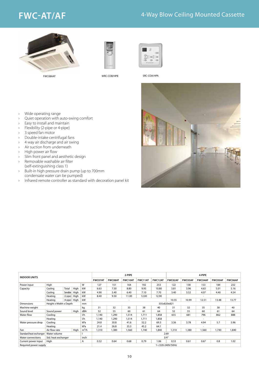# **FWC-AT/AF**

#### 4-Way Blow Ceiling Mounted Cassette







FWC08AAT WRC-COB/HPB SRC-COA/HPA

 $2$ i olio



- › Quiet operation with auto-swing comfort
- › Easy to install and maintain
- › Flexibility (2-pipe or 4-pipe)
- › 3 speed fan motor
- › Double-intake centrifugal fans
- › 4 way air discharge and air swing
- › Air suction from underneath
- › High power air flow
- › Slim front panel and aesthetic design
- › Removable washable air filter (self-extinguishing class 1)
- › Built-in high pressure drain pump (up to 700mm condensate water can be pumped)
- › Infrared remote controller as standard with decoration panel kit



| <b>INDOOR UNITS</b>                     |                        |                |      |         |                |                  | 2-PIPE                   |         |         | 4-PIPE  |                          |                          |                |                |  |
|-----------------------------------------|------------------------|----------------|------|---------|----------------|------------------|--------------------------|---------|---------|---------|--------------------------|--------------------------|----------------|----------------|--|
|                                         |                        |                |      |         | <b>FWC07AT</b> | FWC08AT          | FWC10AT                  | FWC11AT | FWC12AT | FWC02AF | <b>FWC03AF</b>           | <b>FWC04AF</b>           | <b>FWC05AF</b> | <b>FWC06AF</b> |  |
| Power input                             | High                   |                |      | W       | 127            | 151              | 164                      | 192     | 253     | 122     | 138                      | 153                      | 184            | 232            |  |
| Capacity                                | Cooling                | Total          | High | kW      | 6.63           | 7.50             | 8.80                     | 9.95    | 10.80   | 3.81    | 3.96                     | 4.63                     | 5.01           | 5.16           |  |
|                                         | Cooling                | Sensible       | High | kW      | 4.90           | 5.40             | 6.40                     | 7.10    | 7.70    | 3.40    | 3.52                     | 4.07                     | 4.40           | 4.54           |  |
|                                         | Heating                | (2-pipe)       | High | kW      | 8.40           | 9.50             | 11.00                    | 12.00   | 12.90   |         |                          |                          |                |                |  |
|                                         | Heating                | $(4$ -pipe $)$ | High | kW      |                |                  | $\overline{\phantom{a}}$ |         |         | 10.55   | 10.99                    | 12.51                    | 13.48          | 13.77          |  |
| <b>Dimensions</b>                       | Height x Width x Depth |                |      | mm      | 335x820x821    |                  |                          |         |         |         |                          |                          |                |                |  |
| Machine weight                          |                        |                |      | kg      | 31             | 32               | 35                       | 38      | 40      | 31      | 32                       | 35                       | 38             | 40             |  |
| Sound level                             | Sound power            |                | High | dBA     | 52             | 55               | 60                       | 61      | 64      | 52      | 55                       | 60                       | 61             | 64             |  |
| Water flow                              | Cooling                |                |      | 1/h     | 1,140          | 1,290            | 1,514                    | 1.711   | 1,858   | 655     | 681                      | 796                      | 862            | 888            |  |
|                                         | Heating                |                |      | 1/h     | 1.140          | 1,290            | 1,514                    | 1,711   | 1,858   |         | $\overline{\phantom{a}}$ |                          |                |                |  |
| Water pressure drop                     | Cooling                |                |      | kPa     | 24.8           | 30.8             | 41.6                     | 52.2    | 69.3    | 3.56    | 3.78                     | 4.94                     | 5.7            | 5.96           |  |
|                                         | Heating                |                |      | kPa     | 21.4           | 26.8             | 35.3                     | 45.2    | 64.1    |         |                          | $\overline{\phantom{a}}$ |                |                |  |
| Fan                                     | Air flow rate          |                | High | $m^3/h$ | 1,310          | 1,380            | 1,560                    | 1,740   | 1,840   | 1,310   | 1,380                    | 1,560                    | 1,740          | 1,840          |  |
| Standard heat exchanger<br>Water volume |                        |                |      |         | 2.69           |                  |                          |         |         |         |                          |                          |                |                |  |
| Water connections                       | Std. heat exchanger    |                |      | inch    |                |                  |                          |         |         | 3/4'    |                          |                          |                |                |  |
| High<br>Current power input<br>A        |                        |                |      |         | 0.52           | 0.64             | 0.68                     | 0.79    | 1.06    | 0.53    | 0.61                     | 0.67                     | 0.8            | 1.02           |  |
| Required power supply                   |                        |                |      |         |                | 1~/220-240V/50Hz |                          |         |         |         |                          |                          |                |                |  |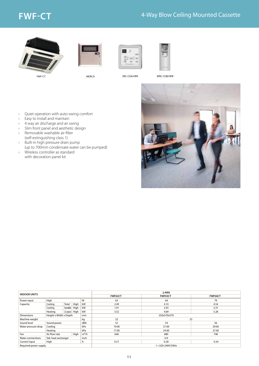# 4-Way Blow Ceiling Mounted Cassette **FWF-CT** 4-Way Blow Ceiling Mounted Cassette









SRC-COA/HPA WRC-COB/HPB

- › Quiet operation with auto-swing comfort
- › Easy to install and maintain
- › 4 way air discharge and air swing
- › Slim front panel and aesthetic design
- › Removable washable air filter
- (self-extinguishing class 1)
- › Built-in high pressure drain pump (up to 700mm condensate water can be pumped)
- › Wireless controller as standard with decoration panel kit



| <b>INDOOR UNITS</b>                              |                                                                                                  |  |      |         | 2-PIPE               |         |         |  |  |  |  |  |  |  |
|--------------------------------------------------|--------------------------------------------------------------------------------------------------|--|------|---------|----------------------|---------|---------|--|--|--|--|--|--|--|
|                                                  |                                                                                                  |  |      |         | FWF02CT              | FWF03CT | FWF04CT |  |  |  |  |  |  |  |
| Power input                                      | W<br>High<br>Total<br>High<br>Sensible   High<br>$(2-pipe)$ High<br>Height x Width x Depth<br>kg |  |      |         | 63                   | 64      | 79      |  |  |  |  |  |  |  |
| Capacity                                         | Cooling                                                                                          |  |      | kW      | 2.49                 | 4.10    | 4.54    |  |  |  |  |  |  |  |
|                                                  | Cooling                                                                                          |  |      | kW      | 1.91                 | 2.93    | 3.37    |  |  |  |  |  |  |  |
|                                                  | Heating                                                                                          |  |      | kW      | 3.52                 | 4.69    | 5.28    |  |  |  |  |  |  |  |
| <b>Dimensions</b>                                |                                                                                                  |  |      | mm      | 250x570x570          |         |         |  |  |  |  |  |  |  |
| Machine weight                                   |                                                                                                  |  |      |         | 22                   | 23      |         |  |  |  |  |  |  |  |
| Sound level                                      | Sound power                                                                                      |  |      | dBA     | 52                   | 54      |         |  |  |  |  |  |  |  |
| Water pressure drop                              | Cooling                                                                                          |  |      | kPa     | 19.00                | 27.00   | 29.00   |  |  |  |  |  |  |  |
|                                                  | Heating                                                                                          |  |      | kPa     | 17.00                | 24.00   | 27.00   |  |  |  |  |  |  |  |
| Fan                                              | Air flow rate                                                                                    |  | High | $m^3/h$ | 646                  | 748     |         |  |  |  |  |  |  |  |
| inch<br>Std. heat exchanger<br>Water connections |                                                                                                  |  |      |         | 3/4                  |         |         |  |  |  |  |  |  |  |
| Current input                                    | High<br>A                                                                                        |  |      |         | 0.27<br>0.28<br>0.34 |         |         |  |  |  |  |  |  |  |
|                                                  | Required power supply                                                                            |  |      |         | 1~/220-240V/50Hz     |         |         |  |  |  |  |  |  |  |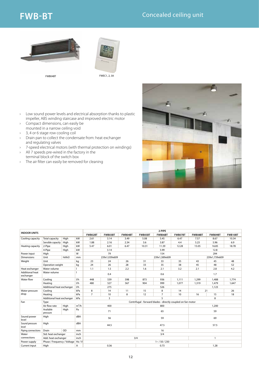### **FWB-BT**





FWB04BT FWEC1, 2, 3A

- › Low sound power levels and electrical absorption thanks to plastic impeller, ABS winding staircase and improved electric motor
- › Compact dimensions, can easily be mounted in a narrow ceiling void
- › 3, 4 or 6 stage row cooling coil
- › Drain pan to collect the condensate from: heat exchanger and regulating valves
- › 7-speed electrical motors (with thermal protection on windings)
- › All 7 speeds pre-wired in the factory in the terminal block of the switch box
- › The air filter can easily be removed for cleaning



| <b>INDOOR UNITS</b>                 |                             |              |         |                |               |         |                | 2-PIPE                                                       |         |         |               |         |  |  |
|-------------------------------------|-----------------------------|--------------|---------|----------------|---------------|---------|----------------|--------------------------------------------------------------|---------|---------|---------------|---------|--|--|
|                                     |                             |              |         | FWB02BT        | FWB03BT       | FWB04BT | <b>FWB05BT</b> | <b>FWB06BT</b>                                               | FWB07BT | FWB08BT | FWB09BT       | FWB10BT |  |  |
| Cooling capacity                    | <b>Total capacity</b>       | High         | kW      | 2.61           | 3.14          | 3.49    | 5.08           | 5.45                                                         | 6.47    | 7.57    | 8.67          | 10.34   |  |  |
|                                     | Sensible capacity           | High         | kW      | 1.88           | 2.16          | 2.34    | 3.6            | 3.87                                                         | 4.4     | 5.23    | 5.96          | 6.9     |  |  |
| Heating capacity                    | 2-Pipe                      | High         | kW      | 5.47           | 6.01          | 6.47    | 10.31          | 11.39                                                        | 12.28   | 15.05   | 16.85         | 18.78   |  |  |
|                                     | 4-Pipe                      | High         | kW      |                | 3.14          |         |                | 5.99                                                         |         |         | 12.8          |         |  |  |
| Power input                         | High                        |              | W       |                | 79            |         |                | 154                                                          |         |         | 294           |         |  |  |
| <b>Dimensions</b>                   | Unit                        | <b>HxWxD</b> | mm      |                | 239x1,039x609 |         |                | 239x1,389x609                                                |         |         | 239x1,739x609 |         |  |  |
| Weight                              | Unit                        |              | kg      | 23             | 24            | 26      | 31             | 33                                                           | 35      | 43      | 45            | 48      |  |  |
|                                     | Operation weight            |              | kg      | 24             | 26            | 28      | 33             | 35                                                           | 38      | 45      | 48            | 52      |  |  |
| Heat exchanger                      | Water volume                |              |         | 1.1            | 1.5           | 2.2     | 1.6            | 2.1                                                          | 3.2     | 2.1     | 2.8           | 4.2     |  |  |
| <b>Additional heat</b><br>exchanger | Water volume                |              |         |                | 0.4           |         |                | 0.6                                                          |         |         | 1.7           |         |  |  |
| Water flow                          | Cooling                     |              | 1/h     | 448            | 539           | 598     | 873            | 936                                                          | 1,111   | 1,299   | 1,488         | 1,774   |  |  |
|                                     | Heating                     |              | 1/h     | 480<br>527     |               | 567     | 904            | 999                                                          | 1,077   | 1,319   | 1,479         | 1,647   |  |  |
|                                     | Additional heat exchanger   |              | 1/h     | 275            |               |         |                | 526                                                          |         |         | 1,123         |         |  |  |
| Water pressure                      | Cooling                     |              | kPa     | 8              | 14            | 11      | 15             | 8                                                            | 14      | 21      |               | 26      |  |  |
| drop                                | Heating                     |              | kPa     | $\overline{7}$ | 10            | 8       | 12             | $\overline{7}$                                               | 10      | 16      | 15            | 18      |  |  |
|                                     | Additional heat exchanger   |              | kPa     |                | 3             |         |                | 5                                                            |         | 8       |               |         |  |  |
| Fan                                 | Type                        |              |         |                |               |         |                | Centrifugal - forward blades - directly coupled on fan motor |         |         |               |         |  |  |
|                                     | Air flow rate               | High         | $m^3/h$ |                | 400           |         |                | 800                                                          |         |         | 1,200         |         |  |  |
|                                     | Available<br>pressure       | High         | Pa      |                | 71            |         |                | 65                                                           |         |         | 59            |         |  |  |
| Sound power<br>level                | High                        |              | dBA     |                | 56            |         |                | 59                                                           |         |         | 69            |         |  |  |
| Sound pressure<br>level             | High                        |              | dBA     |                | 44.5          |         |                | 47.5                                                         |         |         |               |         |  |  |
| Piping connections                  | Drain                       | <b>OD</b>    | mm      |                |               |         |                | 16                                                           |         |         |               |         |  |  |
| Water                               | Std. heat exchanger         |              | inch    |                |               | 3/4     |                |                                                              |         |         |               |         |  |  |
| connections                         | Add. heat exchanger         |              | inch    |                |               |         | 3/4            |                                                              |         |         | $\mathbf{1}$  |         |  |  |
| Power supply                        | Phase / Frequency / Voltage |              | Hz/V    |                |               |         |                | $1 - 750/230$                                                |         |         |               |         |  |  |
| Current input                       | High                        |              | Α       |                | 0.36          |         |                | 1.28                                                         |         |         |               |         |  |  |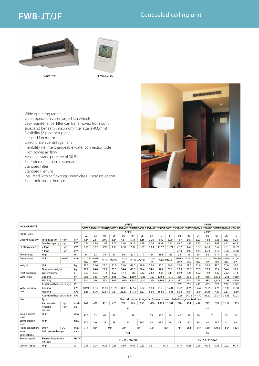# **FWB-JT/JF**



FWB02JT/JF FWEC1, 2, 3A



- › Wide operating range
- › Quiet operation via enlarged fan wheels
- › Easy maintenance: filter can be removed from both sides and beneath (maximum filter size is 400mm)
- › Flexibility (2-pipe or 4-pipe)
- › 4-speed fan motor
- › Direct driven centrifugal fans
- › Flexibility via interchangeable water connection side
- › High power air flow
- › Available static pressure of 30 Pa
- › Extended drain pan as standard
- › Standard Filter
- › Standard Plenum
- › Insulated with self-extinguishing class 1 heat insulation
- › Electronic room thermostat



|                         | <b>INDOOR UNITS</b>              |                             |         |                 |                                                                      | 2-PIPE<br>FWB02JT FWB03JT FWB04JT FWB05JT FWB06JT FWB07JT FWB08JT FWB09JT FWB10JT FWB11JT FWB02JF FWB03JF FWB04JF FWB06JF FWB07JF FWB08JF FWB10JF |               |                     |       |               |                                                                            |               |       |                 |                 |                   | 4-PIPE            |                   |                   |                   |  |  |  |
|-------------------------|----------------------------------|-----------------------------|---------|-----------------|----------------------------------------------------------------------|---------------------------------------------------------------------------------------------------------------------------------------------------|---------------|---------------------|-------|---------------|----------------------------------------------------------------------------|---------------|-------|-----------------|-----------------|-------------------|-------------------|-------------------|-------------------|-------------------|--|--|--|
|                         |                                  |                             |         |                 |                                                                      |                                                                                                                                                   |               |                     |       |               |                                                                            |               |       |                 |                 |                   |                   |                   |                   |                   |  |  |  |
|                         |                                  |                             |         |                 |                                                                      |                                                                                                                                                   |               | 2-PIPE              |       |               |                                                                            |               |       |                 |                 |                   | 4-PIPE            |                   |                   |                   |  |  |  |
| Indoor units            |                                  |                             |         | 02              | 03                                                                   | 04                                                                                                                                                | 05            | 06                  | 07    | 08            | 09                                                                         | 10            | 11    | 02              | 03              | 04                | 06                | 07                | 08                | 10                |  |  |  |
| Cooling capacity        | <b>Total capacity</b>            | High                        | kW      | 1.64            | 2.67                                                                 | 2.99                                                                                                                                              | 3.34          | 4.81                | 5.31  | 6.16          | 7.26                                                                       | 8.49          | 8.99  | 1.67            | 2.67            | 3.03              | 4.88              | 5.33              | 6.53              | 8.21              |  |  |  |
|                         | Sensible capacity                | High                        | kW      | 0.94            | 1.88                                                                 | 1.95                                                                                                                                              | 2.07          | 3.40                | 4.15  | 4.39          | 5.06                                                                       | 6.37          | 6.41  | 0.97            | 1.83            | 1.93              | 3.41              | 4.01              | 4.91              | 6.28              |  |  |  |
| Heating capacity        | 2-Pipe                           | High                        | kW      | 2.16            | 3.62                                                                 | 3.97                                                                                                                                              | 4.11          | 6.30                | 7.47  | 8.09          | 9.64                                                                       | 11.57         | 11.71 | 2.12            | 3.69            | 3.87              | 6.40              | 7.52              | 9.01              | 11.09             |  |  |  |
|                         | 4-Pipe                           | High                        | kW      |                 |                                                                      |                                                                                                                                                   |               |                     |       |               |                                                                            |               |       | 2.49            | 3.92            | 4.43              | 6.70              | 8.16              | 9.56              | 11.68             |  |  |  |
| Power input             | High                             |                             | W       | 34              | 53                                                                   | 57                                                                                                                                                | 54            | 86                  | 121   | 117           | 134                                                                        | 164           | 166   | 34              | 51              | 54                | 84                | 117               | 137               | 163               |  |  |  |
| Dimensions              | Unit                             | <b>HxWxD</b>                | mm      | 251x814<br>x590 | 251x984<br>x590                                                      |                                                                                                                                                   | 251x1,114x590 | 251x1,314<br>x590   |       | 251x1,564x590 | 251x1,664<br>x590                                                          | 251x1,924x590 |       | 251x814<br>x590 | 251x984<br>x590 | 251x1.114<br>x590 | 251x1,314<br>x590 | 251x1.564<br>x590 | 251x1,664<br>x590 | 251x1,924<br>x590 |  |  |  |
| Weight                  | Unit                             |                             | kq      | 20.0            | 23.0                                                                 | 28.0                                                                                                                                              | 31.0          | 33.0                | 44.0  | 48.0          | 52.0                                                                       | 50.0          | 56.0  | 22.0            | 27.0            | 31.0              | 36.0              | 48.0              | 52.0              | 56.0              |  |  |  |
|                         | Operation weight                 |                             | kq      | 20.7            | 29.1<br>50.4<br>54.6<br>52.4<br>24.0<br>32.5<br>34.4<br>45.8<br>59.1 |                                                                                                                                                   |               |                     |       |               |                                                                            |               |       | 22.9            | 28.3            | 32.5              | 37.9              | 50.4              | 54.6              | 59.1              |  |  |  |
| Heat exchanger          | Water volume                     |                             |         | 0.69            | 2.62<br>0.95<br>1.82<br>2.42<br>2.36<br>3.14<br>1.14<br>1.52<br>1.44 |                                                                                                                                                   |               |                     |       |               |                                                                            |               |       | 0.92            | 1.26            | 1.52              | 1.92              | 2.42              | 2.62              | 3.14              |  |  |  |
| Water flow              | Coolina                          |                             | 1/h     | 386             | 549                                                                  | 739                                                                                                                                               | 803           | 1.022               | 1,109 | 1,383         | 1.523                                                                      | 1.764         | 1.910 | 386             | 530             | 724               | 986               | 1.138             | 1,296             | 1.660             |  |  |  |
|                         | Heating                          |                             | 1/h     | 386             | 549                                                                  | 738                                                                                                                                               | 802           | 1,020               | 1,107 | 1,336         | 1,524                                                                      | 1,764         | 1,911 | 387             | 530             | 725               | 985               | 1,139             | 1,299             | 1,660             |  |  |  |
|                         | Additional heat exchanger<br>1/h |                             |         |                 |                                                                      |                                                                                                                                                   |               |                     |       |               |                                                                            |               |       | 269             | 391             | 493               | 663               | 820               | 924               | 1,142             |  |  |  |
| Water pressure          | Cooling                          |                             | kPa     | 10.91           | 8.34                                                                 | 15.64                                                                                                                                             | 11.22         | 31.31               | 12.56 | 7.62          | 9.83                                                                       | 21.71         | 16.81 | 10.95           | 8.24            | 15.67             | 29.95             | 9.24              | 12.49             | 19.38             |  |  |  |
| drop                    | Heating                          |                             | kPa     | 8.86            | 6.76                                                                 | 12.84                                                                                                                                             | 9.21          | 25.87               | 11.13 | 6.57          | 8.60                                                                       | 18.56         | 14.46 | 8.94            | 6.64            | 12.84             | 24.16             | 7.89              | 9.67              | 16.50             |  |  |  |
|                         | Additional heat exchanger        |                             | kPa     |                 |                                                                      |                                                                                                                                                   |               |                     |       |               |                                                                            |               |       | 10.66           | 24.73           | 41.72             | 81.63             | 25.31             | 31.33             | 50.03             |  |  |  |
| Fan                     | Type                             |                             |         |                 |                                                                      |                                                                                                                                                   |               |                     |       |               | Direct driven centrifugal fan (forward-curved blades) hot-galvanised steel |               |       |                 |                 |                   |                   |                   |                   |                   |  |  |  |
|                         | Air flow rate                    | Hiah                        | $m^3/h$ | 262             | 428                                                                  | 431                                                                                                                                               | 428           | 757                 | 945   | 950           | 1.066                                                                      | 1.463         | 1.341 | 220             | 424             | 437               | 747               | 898               | 1.112             | 1,385             |  |  |  |
|                         | Available<br>pressure            | High                        | Pa      |                 |                                                                      |                                                                                                                                                   |               | 30                  |       |               |                                                                            |               |       |                 |                 |                   | 30                |                   |                   |                   |  |  |  |
| Sound power<br>level    | High                             |                             | dBA     | 47.5            | 52                                                                   | 49                                                                                                                                                | 50            |                     | 52    |               | 55                                                                         | 55.5          | 56    | 47              | 52              | 50                |                   | 52                | 55                | 56                |  |  |  |
| Sound pressure<br>level | High<br>dBA                      |                             |         | 35.5            | 40                                                                   | 37                                                                                                                                                | 38            | 40                  |       | 39.5          | 43                                                                         | 43.5          | 44    | 35              | 40              | 38                | 40                | 39.5              | 43                | 44                |  |  |  |
| Piping connections      | Drain                            | <b>OD</b>                   | mm      | 714             | 884                                                                  |                                                                                                                                                   | 1.014         | 1.214               |       | 1.464         | 1.564                                                                      | 1.824         |       | 714             | 884             | 1.014             | 1.214             | 1.464             | 1.564             | 1.824             |  |  |  |
| Water<br>connections    | Std. heat exchanger              |                             | inch    |                 |                                                                      |                                                                                                                                                   | 3/4           |                     |       |               |                                                                            |               | 3/4   |                 |                 |                   |                   |                   |                   |                   |  |  |  |
| Power supply            | Phase / Frequency /<br>Voltage   | Hz/V<br>$1 - 750/220 - 240$ |         |                 |                                                                      |                                                                                                                                                   |               | $1 - 750/220 - 240$ |       |               |                                                                            |               |       |                 |                 |                   |                   |                   |                   |                   |  |  |  |
| Current input           | High                             |                             | A       | 0.15            | 0.24                                                                 | 0.26                                                                                                                                              | 0.25          | 0.39                | 0.55  | 0.53          | 0.61                                                                       | 0.75          |       | 0.15            | 0.23            | 0.25              | 0.38              | 0.53              | 0.62              | 0.74              |  |  |  |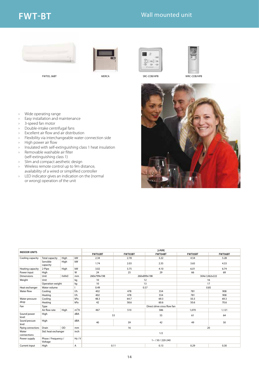## **FWT-BT**

#### Wall mounted unit









FWT05, 06BT MERCA SRC-COB/HPB WRC-COB/HPB



- › Easy installation and maintenance
- › 3-speed fan motor
- › Double-intake centrifugal fans
- › Excellent air flow and air distribution
- › Flexibility via interchangeable water connection side
- › High power air flow
- › Insulated with self-extinguishing class 1 heat insulation
- › Removable washable air filter (self-extinguishing class 1)
- › Slim and compact aesthetic design
- › Wireless remote control up to 9m distance, availability of a wired or simplified controller
- › LED indicator gives an indication on the (normal or wrong) operation of the unit

| <b>INDOOR UNITS</b>     |                                |            |         | 2-PIPE              |         |             |         |               |  |  |  |  |  |  |
|-------------------------|--------------------------------|------------|---------|---------------------|---------|-------------|---------|---------------|--|--|--|--|--|--|
|                         |                                |            |         | FWT02BT             | FWT03BT | FWT04BT     | FWT05BT | FWT06BT       |  |  |  |  |  |  |
| Cooling capacity        | <b>Total capacity</b>          | High       | kW      | 2.34                | 2.78    | 3.22        | 4.54    | 5.28          |  |  |  |  |  |  |
|                         | Sensible<br>capacity           | High       | kW      | 1.74                | 2.03    | 2.35        | 3.65    | 4.33          |  |  |  |  |  |  |
| Heating capacity        | 2-Pipe                         | High       | kW      | 3.02                | 3.75    | 4.10        | 6.01    | 6.74          |  |  |  |  |  |  |
| Power input             | High                           |            | W       | 24                  | 25      | 29          | 66      | 69            |  |  |  |  |  |  |
| <b>Dimensions</b>       | Unit                           | HxWxD      | mm      | 260x799x198         |         | 260x899x198 |         | 304x1,062x222 |  |  |  |  |  |  |
| Weight                  | Unit                           |            | kg      | 10                  |         | 12          |         | 16            |  |  |  |  |  |  |
|                         | Operation weight               |            | kg      | 10                  |         | 13          | 17      |               |  |  |  |  |  |  |
| Heat exchanger          | Water volume                   |            |         | 0.49                |         | 0.57        |         | 0.85          |  |  |  |  |  |  |
| Water flow              | Cooling                        |            | 1/h     | 402                 | 478     | 554         | 781     | 908           |  |  |  |  |  |  |
|                         | Heating                        | 1/h<br>kPa |         | 402                 | 478     | 554         | 781     | 908           |  |  |  |  |  |  |
| Water pressure          | Cooling                        |            |         | 48.3                | 64.7    | 69.3        | 50.3    | 69.3          |  |  |  |  |  |  |
| drop                    | Heating                        |            | kPa     | 42                  | 58.6    | 60.6        | 50.6    | 70.6          |  |  |  |  |  |  |
| Fan                     | Type                           |            |         |                     |         |             |         |               |  |  |  |  |  |  |
|                         | Air flow rate                  | High       | $m^3/h$ | 467                 | 510     | 586         | 1.070   | 1,121         |  |  |  |  |  |  |
| Sound power<br>level    | High                           |            | dBA     | 53                  |         | 55          | 61      | 64            |  |  |  |  |  |  |
| Sound pressure<br>level | High                           |            | dBA     | 40                  | 39      | 42          | 49      | 50            |  |  |  |  |  |  |
| Piping connections      | Drain                          | OD         | mm      |                     | 16      |             |         | 20            |  |  |  |  |  |  |
| Water<br>connections    | Std. heat exchanger            |            | inch    |                     |         | 1/2         |         |               |  |  |  |  |  |  |
| Power supply            | Phase / Frequency /<br>Voltage |            | Hz/V    | $1 - 750/220 - 240$ |         |             |         |               |  |  |  |  |  |  |
| Current input           | High                           |            | A       | 0.11                |         | 0.13        | 0.29    | 0.30          |  |  |  |  |  |  |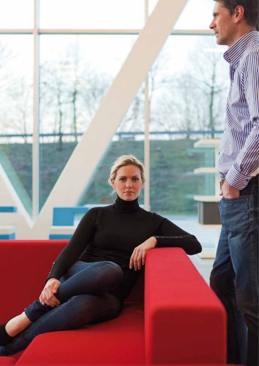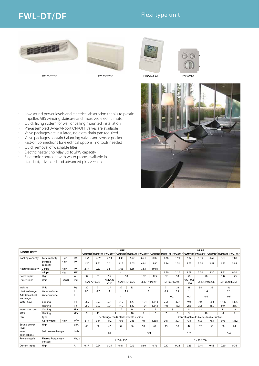# **FWL-DT/DF**

#### Flexi type unit









FWL03DT/DF FWL03DT/DF FWEC1, 2, 3A ECFWMB6

- › Low sound power levels and electrical absorption thanks to plastic impeller, ABS winding staircase and improved electric motor
- › Quick fixing system for wall or ceiling mounted installation
- › Pre-assembled 3-way/4-port ON/OFF valves are available
- › Valve packages are insulated, no extra drain pan required
- › Valve packages contain balancing valves and sensor pocket
- › Fast-on connections for electrical options : no tools needed
- › Quick removal of washable filter
- › Electric heater : no relay up to 2kW capacity
- › Electronic controller with water probe, available in standard, advanced and advanced plus version



| <b>INDOOR UNITS</b>                 |                                |              |         |                         |             |                 | 2-PIPE                                  |               |               |       | 4-PIPE         |          |                                                         |          |                         |               |       |
|-------------------------------------|--------------------------------|--------------|---------|-------------------------|-------------|-----------------|-----------------------------------------|---------------|---------------|-------|----------------|----------|---------------------------------------------------------|----------|-------------------------|---------------|-------|
|                                     |                                |              |         |                         |             |                 | FWM01DT FWM02DT FWM03DT FWM04DT         |               |               |       |                |          | FWM06DT FWM08DT FWM10DT FWM01DF FWM02DF FWM03DF FWM04DF |          | FWM06DF FWM08DF FWM10DF |               |       |
| Cooling capacity                    | <b>Total capacity</b>          | High         | kW      | 1.54                    | 2.09        | 2.93            | 4.33                                    | 4.77          | 6.71          | 8.02  | 1.46           | 1.90     | 2.87                                                    | 4.33     | 4.67                    | 6.64          | 7.88  |
|                                     | Sensible<br>capacity           | High         | kW      | 1.20                    | 1.51        | 2.11            | 3.15                                    | 3.65          | 4.91          | 5.96  | 1.14           | 1.51     | 2.07                                                    | 3.15     | 3.57                    | 4.85          | 5.85  |
| Heating capacity                    | 2-Pipe                         | High         | kW      | 2.14                    | 2.57        | 3.81            | 5.63                                    | 6.36          | 7.83          | 10.03 |                |          |                                                         | $\sim$   |                         |               |       |
|                                     | 4-Pipe                         | High         | kW      |                         |             |                 |                                         |               |               |       | 1.90           | 2.10     | 3.08                                                    | 5.05     | 5.30                    | 7.91          | 9.30  |
| Power input                         | High                           |              | W       | 37                      | 53          | 56              |                                         | 98<br>137     |               |       | 37             | 53       | 56                                                      | 98       |                         | 137           | 175   |
| Dimensions                          | Unit                           | <b>HxWxD</b> | mm      |                         | 564x774x226 | 564x984<br>x226 |                                         | 564x1,194x226 | 564x1.404x251 |       | 564x774x226    |          | 564x984<br>x226                                         |          | 564x1.194x226           | 564x1,404x251 |       |
| Weight                              | Unit                           |              | kg      | 20                      | 21          | 27              | 32                                      | 33            |               | 44    |                | 21<br>22 |                                                         | 34<br>35 |                         | 46            |       |
| Heat exchanger                      | Water volume                   |              |         | 0.7<br>1.4<br>0.5<br>-1 |             |                 |                                         |               | 2.1           |       | 0.5            | 0.7      |                                                         |          | 1.4                     | 2.1           |       |
| <b>Additional heat</b><br>exchanger | Water volume                   |              |         |                         |             |                 |                                         |               |               |       | 0.2            |          | 0.3                                                     |          | 0.4                     |               | 0.6   |
| Water flow                          | Coolina                        |              | 1/h     | 265                     | 359         | 504             | 745                                     | 820           | 1.154         | 1.343 | 251            | 327      | 494                                                     | 745      | 803                     | 1.142         | 1.355 |
|                                     | Heating                        |              | 1/h     | 265                     | 359         | 504             | 745                                     | 820           | 1.154         | 1,343 | 196            | 182      | 286                                                     | 396      | 465                     | 694           | 816   |
| Water pressure                      | Cooling                        |              | kPa     |                         | 13          | 12<br>11        |                                         | 14            | 12            | 19    | 13             |          | 11                                                      | 12       | 14                      | 12            | 19    |
| drop                                | Heating                        |              | kPa     | 9                       | 11          |                 | 9                                       | 10            | 9             | 16    | $\overline{7}$ | 8        | 5                                                       | 10       |                         | 8             | 9     |
| Fan                                 | Type                           |              |         |                         |             |                 | Centrifugal multi-blade, double suction |               |               |       |                |          | Centrifugal multi-blade, double suction                 |          |                         |               |       |
|                                     | Air flow rate                  | High         | $m^3/h$ | 319                     | 344         | 442             | 706                                     | 785           | 1.011         | 1.393 | 307            | 327      | 431                                                     | 690      | 763                     | 998           | 1.362 |
| Sound power<br>level                | High                           |              | dBA     | 45                      | 50          | 47              | 52                                      | 56            | 58            | 64    | 45             | 50       | 47                                                      | 52       | 56                      | 58            | 64    |
| Water<br>connections                | inch<br>Std. heat exchanger    |              |         | 1/2<br>3/4              |             |                 |                                         |               |               |       |                | 1/2      |                                                         |          |                         | 3/4           |       |
| Power supply                        | Phase / Frequency /<br>Voltage |              | Hz/V    | 1/50/230                |             |                 |                                         |               |               |       |                | 1/50/230 |                                                         |          |                         |               |       |
| Current input                       | High<br>A                      |              |         | 0.17                    | 0.24        | 0.25            | 0.44                                    | 0.43          | 0.60          | 0.76  | 0.17           | 0.24     | 0.25                                                    | 0.44     | 0.43                    | 0.60          | 0.76  |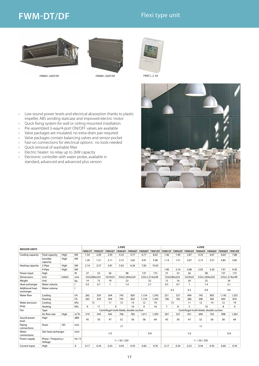# **FWM-DT/DF**

#### Flexi type unit





FWM01, 02DT/DF FWM01, 02DT/DF FWEC1, 2, 3A



- › Low sound power levels and electrical absorption thanks to plastic impeller, ABS winding staircase and improved electric motor
- › Quick fixing system for wall or ceiling mounted installation
- › Pre-assembled 3-way/4-port ON/OFF valves are available
- › Valve packages are insulated, no extra drain pan required
- › Valve packages contain balancing valves and sensor pocket
- › Fast-on connections for electrical options : no tools needed
- › Quick removal of washable filter
- › Electric heater: no relay up to 2kW capacity
- › Electronic controller with water probe, available in standard, advanced and advanced plus version



| <b>INDOOR UNITS</b>                 |                                |       |         |                                        |                 | 2-PIPE                                  |         |               | 4-PIPE          |               |                                         |      |              |               |         |               |                |
|-------------------------------------|--------------------------------|-------|---------|----------------------------------------|-----------------|-----------------------------------------|---------|---------------|-----------------|---------------|-----------------------------------------|------|--------------|---------------|---------|---------------|----------------|
|                                     |                                |       |         |                                        | FWM01DT FWM02DT | FWM03DT                                 | FWM04DT |               | FWM06DT FWM08DT |               | FWM10DT FWM01DF FWM02DF FWM03DF         |      |              | FWM04DF       | FWM06DF | FWM08DF       | <b>FWM10DF</b> |
| Cooling capacity                    | <b>Total capacity</b>          | Hiah  | kW      | 1.54                                   | 2.09            | 2.93                                    | 4.33    | 4.77          | 6.71            | 8.02          | 1.46                                    | 1.90 | 2.87         | 4.33          | 4.67    | 6.64          | 7.88           |
|                                     | Sensible<br>capacity           | High  | kW      | 1.20                                   | 1.51            | 2.11                                    | 3.15    | 3.65          | 4.91            | 5.96          | 1.14                                    | 1.51 | 2.07         | 3.15          | 3.57    | 4.85          | 5.85           |
| Heating capacity                    | 2-Pipe                         | Hiah  | kW      | 2.14                                   | 2.57            | 3.81                                    | 5.63    | 6.36          | 7.83            | 10.03         |                                         |      |              | ٠             |         |               |                |
|                                     | 4-Pipe                         | High  | kW      |                                        |                 |                                         |         |               |                 |               | 1.90                                    | 2.10 | 3.08         | 5.05          | 5.30    | 7.91          | 9.30           |
| Power input                         | High                           |       | W       | 37                                     | 53              | 56                                      |         | 98            | 137             | 175           | 37                                      | 53   | 56           | 98            |         | 137           | 175            |
| <b>Dimensions</b>                   | Unit                           | HxWxD | mm      | 535x584x224                            |                 | 535x794x224                             |         | 535x1.004x224 |                 | 535x1,214x249 | 535x584x224                             |      | 535x794x224  | 535x1.004x224 |         | 535x1,214x249 |                |
| Weight                              | Unit                           |       | kg      | 14                                     | 15              | 19                                      |         | 23            |                 | 32            | 15                                      | 16   | 20           |               | 25      |               | 34             |
| Heat exchanger                      | Water volume                   |       |         | 0.7<br>0.5<br>1.4<br>2.1               |                 |                                         |         |               |                 |               | 0.5                                     | 0.7  | $\mathbf{1}$ |               | 1.4     | 2.1           |                |
| <b>Additional heat</b><br>exchanger | Water volume<br>Coolina        |       |         |                                        |                 |                                         |         |               |                 |               | 0.2                                     |      | 0.3          | 0.4           |         | 0.6           |                |
| Water flow                          | 1/h                            |       |         | 265                                    | 359             | 504                                     | 745     | 820           | 1.154           | 1.343         | 251                                     | 327  | 494          | 745           | 803     | 1.142         | 1.355          |
|                                     | Heating                        |       | 1/h     | 265                                    | 359             | 504                                     | 745     | 820           | 1.154           | 1,343         | 196                                     | 182  | 286          | 396           | 465     | 694           | 816            |
| Water pressure                      | Coolina                        |       | kPa     | 13                                     |                 | 11                                      | 12      | 14            | 12              | 19            | 13                                      |      | 11           | 12            | 14      | 12            | 19             |
| drop                                | Heating                        |       | kPa     | 9<br>9<br>10<br>11                     |                 |                                         | 9       | 16            | $\overline{7}$  | 8             | 5                                       |      | 10           | 8             | q       |               |                |
| Fan                                 | Type                           |       |         |                                        |                 | Centrifugal multi-blade, double suction |         |               |                 |               | Centrifugal multi-blade, double suction |      |              |               |         |               |                |
|                                     | Air flow rate                  | Hiah  | $m^3/h$ | 319                                    | 344             | 442                                     | 706     | 785           | 1.011           | 1,393         | 307                                     | 327  | 431          | 690           | 763     | 998           | 1,362          |
| Sound power<br>level                | High                           |       | dBA     | 45                                     | 50              | 47                                      | 52      | 56            | 58              | 64            | 45                                      | 50   | 47           | 52            | 56      | 58            | 64             |
| Piping<br>connections               | Drain                          | mm    | 17      |                                        |                 |                                         |         |               |                 | 17            |                                         |      |              |               |         |               |                |
| Water<br>connections                | Std. heat exchanger            |       | inch    | 1/2<br>1/2<br>3/4                      |                 |                                         |         |               |                 |               | 3/4                                     |      |              |               |         |               |                |
| Power supply                        | Phase / Frequency /<br>Voltage |       |         | Hz/V<br>$1 - 750/230$<br>$1 - 750/230$ |                 |                                         |         |               |                 |               |                                         |      |              |               |         |               |                |
| High<br>Current input<br>A          |                                |       |         | 0.17                                   | 0.24            | 0.25                                    | 0.44    | 0.43          | 0.60            | 0.76          | 0.17                                    | 0.24 | 0.25         | 0.44          | 0.43    | 0.60          | 0.76           |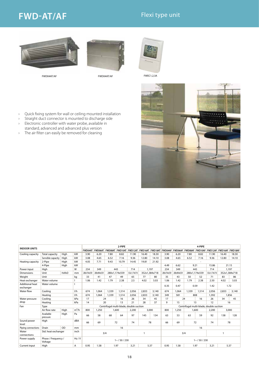# **FWD-AT/AF**

#### Flexi type unit



FWD04AT/AF FWD04AT/AF FWEC1,2,3A





- › Straight duct connector is mounted to discharge side
- › Electronic controller with water probe, available in standard, advanced and advanced plus version
- › The air filter can easily be removed for cleaning



| <b>INDOOR UNITS</b>                 |                                |       |         |                                         |             | 2-PIPE                  |                |               |               | 4-PIPE |                                                                 |             |               |        |                                         |               |       |
|-------------------------------------|--------------------------------|-------|---------|-----------------------------------------|-------------|-------------------------|----------------|---------------|---------------|--------|-----------------------------------------------------------------|-------------|---------------|--------|-----------------------------------------|---------------|-------|
|                                     |                                |       |         |                                         |             | FWD04AT FWD06AT FWD08AT |                |               |               |        | FWD10AT FWD12AT FWD16AT FWD18AT FWD04AF FWD06AF FWD08AF FWD10AF |             |               |        | FWD12AF FWD16AF FWD18AF                 |               |       |
| Cooling capacity                    | <b>Total capacity</b>          | High  | kW      | 3.90                                    | 6.20        | 7.80                    | 8.82           | 11.90         | 16.40         | 18.30  | 3.90                                                            | 6.20        | 7.80          | 8.82   | 11.90                                   | 16.40         | 18.30 |
|                                     | Sensible capacity              | High  | kW      | 3.08                                    | 4.65        | 6.52                    | 7.16           | 9.36          | 12.80         | 14.10  | 3.08                                                            | 4.65        | 6.52          | 7.16   | 9.36                                    | 12.80         | 14.10 |
| Heating capacity                    | 2-Pipe                         | High  | kW      | 4.05                                    | 7.71        | 9.43                    | 10.79          | 14.45         | 19.81         | 21.92  |                                                                 |             |               | $\sim$ |                                         |               |       |
|                                     | 4-Pipe                         | High  | kW      |                                         |             |                         |                |               |               |        | 4.49                                                            | 6.62        | 9.21          |        | 15.86                                   | 21.15         |       |
| Power input                         | High                           |       | W       | 234                                     | 349         | 443                     |                | 714           | 1.197         |        | 234                                                             | 349         | 443           |        | 714                                     | 1,197         |       |
| <b>Dimensions</b>                   | Unit                           | HxWxD | mm      | 280x754x559                             | 280x964x559 | 280x1,174x559           |                | 352x1.174x718 | 352x1.384x718 |        | 280x754x559                                                     | 280x964x559 | 280x1.174x559 |        | 352x1.174x718                           | 352x1,384x718 |       |
| Weight                              | Unit                           |       | kg      | 33                                      | 41          | 47                      | 49             | 65            | 77            | 80     | 35                                                              | 43          | 50            | 52     | 71                                      | 83            | 86    |
| Heat exchanger                      | Water volume                   |       |         | 1.06                                    | 1.42        | 1.79                    | 2.38           | 2.5           | 4.02          | 5.03   | 1.06                                                            | 1.42        | 1.79<br>2.38  |        | 2.50                                    | 4.02          | 5.03  |
| <b>Additional heat</b><br>exchanger | Water volume                   |       |         |                                         |             |                         |                |               |               |        | 0.47                                                            | 0.59        |               | 1.42   |                                         | 1.72          |       |
| Water flow                          | Coolina                        |       | 1/h     | 674                                     | 1.064       | 1.339                   | 1.514          | 2.056         | 2.833         | 3.140  | 674                                                             | 1.064       | 1.339         | 1,514  | 2.056                                   | 2.833         | 3,140 |
|                                     | Heating                        |       | 1/h     | 674                                     | 1.064       | 1.339                   | 1,514          | 2,056         | 2.833         | 3,140  | 349                                                             | 581         | 808           |        | 1,392                                   | 1,856         |       |
| Water pressure                      | Cooling                        |       | kPa     | 17                                      | 24          |                         | 16             | 26            | 34            | 45     | 17                                                              | 24          | 16            |        | 26                                      | 34            | 45    |
| drop                                | Heating                        |       | kPa     | 14                                      |             | 20                      | 13             | 21            | 28            | 37     | 9                                                               | 13<br>15    |               | 12     | 16                                      |               |       |
| Fan                                 | Type                           |       |         | Centrifugal multi-blade, double suction |             |                         |                |               |               |        |                                                                 |             |               |        | Centrifugal multi-blade, double suction |               |       |
|                                     | Air flow rate                  | High  | $m^3/h$ | 800                                     | 1.250       |                         | 1,600<br>2,200 |               | 3.000         |        | 800                                                             | 1.250       | 1.600         |        | 2.200                                   | 3.000         |       |
|                                     | Available<br>pressure          | High  | Pa      | 66                                      | 58          | 68                      | 64             | 97            | 145           | 134    | 63                                                              | 53          | 63            | 59     | 92                                      | 138           | 128   |
| Sound power<br>level                | High                           |       | dBA     | 66                                      | 69          | 72                      |                | 74            |               | 78     | 66                                                              | 69          | 72            |        | 74                                      | 78            |       |
| Piping connections                  | Drain                          | OD    | mm      |                                         |             |                         | 16             |               |               |        | 16                                                              |             |               |        |                                         |               |       |
| Water<br>connections                | Std. heat exchanger            |       | inch    | 3/4<br>$\mathbf{1}$                     |             |                         |                |               | 3/4           |        |                                                                 |             |               |        |                                         |               |       |
| Power supply                        | Phase / Frequency /<br>Voltage |       | Hz/V    | $1 - 750/230$                           |             |                         |                |               | $1 - 750/230$ |        |                                                                 |             |               |        |                                         |               |       |
| Current input                       | High<br>A                      |       |         | 0.95                                    | 1.58        | 1.97                    |                | 3.21          | 5.37          |        | 0.95                                                            | 1.58        | 1.97          |        | 3.21                                    | 5.37          |       |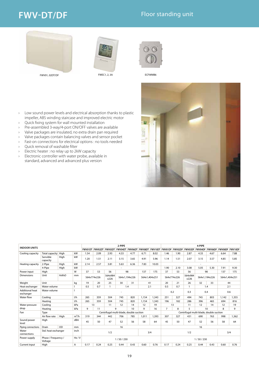# **FWV-DT/DF**

#### Floor standing unit







- › Low sound power levels and electrical absorption thanks to plastic impeller, ABS winding staircase and improved electric motor
- › Quick fixing system for wall mounted installation
- › Pre-assembled 3-way/4-port ON/OFF valves are available
- › Valve packages are insulated, no extra drain pan required
- › Valve packages contain balancing valves and sensor pocket
- › Fast-on connections for electrical options : no tools needed
- › Quick removal of washable filter
- › Electric heater : no relay up to 2kW capacity
- › Electronic controller with water probe, available in standard, advanced and advanced plus version



| <b>INDOOR UNITS</b>          |                                |              |         |             | 2-PIPE                     |                 |                                         | 4-PIPE  |               |                         |                |                        |                                         |                              |         |               |         |
|------------------------------|--------------------------------|--------------|---------|-------------|----------------------------|-----------------|-----------------------------------------|---------|---------------|-------------------------|----------------|------------------------|-----------------------------------------|------------------------------|---------|---------------|---------|
|                              |                                |              |         | FWV01DT     | FWV02DT                    | FWV03DT         | FWV04DT                                 | FWV06DT |               | FWV08DT FWV10DT FWV01DF |                | <b>FWV02DF FWV03DF</b> |                                         | FWV04DF                      | FWV06DF | FWV08DF       | FWV10DF |
| Cooling capacity             | <b>Total capacity</b>          | High         | kW      | 1.54        | 2.09                       | 2.93            | 4.33                                    | 4.77    | 6.71          | 8.02                    | 1.46           | 1.90                   | 2.87                                    | 4.33                         | 4.67    | 6.64          | 7.88    |
|                              | Sensible<br>capacity           | High         | kW      | 1.20        | 1.51                       | 2.11            | 3.15                                    | 3.65    | 4.91          | 5.96                    | 1.14           | 1.51                   | 2.07                                    | 3.15                         | 3.57    | 4.85          | 5.85    |
| Heating capacity             | 2-Pipe                         | High         | kW      | 2.14        | 2.57                       | 3.81            | 5.63                                    | 6.36    | 7.83          | 10.03                   |                |                        |                                         | $\qquad \qquad \blacksquare$ |         |               |         |
|                              | 4-Pipe                         | High         | kW      |             |                            |                 |                                         |         |               |                         | 1.90           | 2.10                   | 3.08                                    | 5.05                         | 5.30    | 7.91          | 9.30    |
| Power input                  | High                           |              | W       | 37          | 53                         | 56              | 98                                      |         | 137           | 175                     | 37             | 53                     | 56                                      | 98                           |         | 137           | 175     |
| Dimensions                   | Unit                           | <b>HxWxD</b> | mm      | 564x774x226 |                            | 564x984<br>x226 | 564x1,194x226                           |         | 564x1,404x251 |                         | 564x774x226    |                        | 564x984<br>x226                         | 564x1.194x226                |         | 564x1,404x251 |         |
| Weight                       | Unit                           |              | kg      | 19          | 30<br>20<br>25<br>31<br>41 |                 |                                         |         |               |                         |                |                        | 26                                      | 32                           | 33      | 44            |         |
| Heat exchanger               | Water volume                   |              |         | 0.5         | 0.7                        | $\mathbf{1}$    | 1.4                                     |         | 2.1           |                         | 0.5            | 0.7                    | $\mathbf{1}$                            |                              | 1.4     | 2.1           |         |
| Additional heat<br>exchanger | Water volume                   |              |         |             |                            |                 |                                         |         |               |                         |                | 0.2                    |                                         |                              | 0.4     | 0.6           |         |
| Water flow                   | Cooling                        |              | 1/h     | 265         | 359                        | 504             | 745                                     | 820     | 1.154         | 1.343                   | 251            | 327                    | 494                                     | 745                          | 803     | 1.142         | 1.355   |
|                              | Heating                        |              | 1/h     | 265         | 359                        | 504             | 745                                     | 820     | 1.154         | 1,343                   | 196            | 182                    | 286                                     | 396                          | 465     | 694           | 816     |
| Water pressure               | Cooling                        |              | kPa     | 13          |                            | 11              | 12                                      | 14      | 12            | 19                      | 13             |                        | 11                                      | 12                           | 14      | 12            | 19      |
| drop                         | Heating                        |              | kPa     | 9           | 11                         | 9               |                                         | 10      | 9             | 16                      | $\overline{7}$ | 8                      | 5                                       |                              | 10      | 8             | 9       |
| Fan                          | Type                           |              |         |             |                            |                 | Centrifugal multi-blade, double suction |         |               |                         |                |                        | Centrifugal multi-blade, double suction |                              |         |               |         |
|                              | Air flow rate                  | Hiah         | $m^3/h$ | 319         | 344                        | 442             | 706                                     | 785     | 1,011         | 1,393                   | 307            | 327                    | 431                                     | 690                          | 763     | 998           | 1.362   |
| Sound power<br>level         | High                           |              | dBA     | 45          | 50                         | 47              | 52                                      | 56      | 58            | 64                      | 45             | 50                     | 47                                      | 52                           | 56      | 58            | 64      |
| Piping connections           | Drain                          | OD           | mm      | 16          |                            |                 |                                         |         |               |                         |                |                        |                                         | 16                           |         |               |         |
| Water<br>connections         | Std. heat exchanger            |              | inch    | 1/2<br>3/4  |                            |                 |                                         |         |               |                         | 1/2<br>3/4     |                        |                                         |                              |         |               |         |
| Power supply                 | Phase / Frequency /<br>Voltage |              | Hz/V    | 1/50/230    |                            |                 |                                         |         |               |                         |                |                        |                                         | 1/50/230                     |         |               |         |
| Current input                | High                           |              | A       | 0.17        | 0.24                       | 0.25            | 0.44                                    | 0.43    | 0.60          | 0.76                    | 0.17           | 0.24                   | 0.25                                    | 0.44                         | 0.43    | 0.60          | 0.76    |